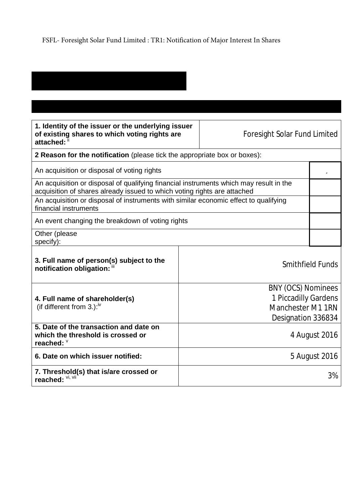## FSFL- Foresight Solar Fund Limited : TR1: Notification of Major Interest In Shares

| 1. Identity of the issuer or the underlying issuer<br>of existing shares to which voting rights are<br>attached:                                                   |  | <b>Foresight Solar Fund Limited</b>                     |                         |
|--------------------------------------------------------------------------------------------------------------------------------------------------------------------|--|---------------------------------------------------------|-------------------------|
| 2 Reason for the notification (please tick the appropriate box or boxes):                                                                                          |  |                                                         |                         |
| An acquisition or disposal of voting rights                                                                                                                        |  |                                                         | ü                       |
| An acquisition or disposal of qualifying financial instruments which may result in the<br>acquisition of shares already issued to which voting rights are attached |  |                                                         |                         |
| An acquisition or disposal of instruments with similar economic effect to qualifying<br>financial instruments                                                      |  |                                                         |                         |
| An event changing the breakdown of voting rights                                                                                                                   |  |                                                         |                         |
| Other (please<br>specify):                                                                                                                                         |  |                                                         |                         |
| 3. Full name of person(s) subject to the<br>notification obligation: "                                                                                             |  |                                                         | <b>Smithfield Funds</b> |
|                                                                                                                                                                    |  | <b>BNY (OCS) Nominees</b>                               |                         |
| 4. Full name of shareholder(s)<br>(if different from 3.): $\mu$                                                                                                    |  | <b>1 Piccadilly Gardens</b><br><b>Manchester M1 1RN</b> |                         |
|                                                                                                                                                                    |  | Designation 336834                                      |                         |
| 5. Date of the transaction and date on<br>which the threshold is crossed or<br>reached: Y                                                                          |  | 4 August 2016                                           |                         |
| 6. Date on which issuer notified:                                                                                                                                  |  | 5 August 2016                                           |                         |
| 7. Threshold(s) that is/are crossed or<br>reached: VI, VII                                                                                                         |  | 3%                                                      |                         |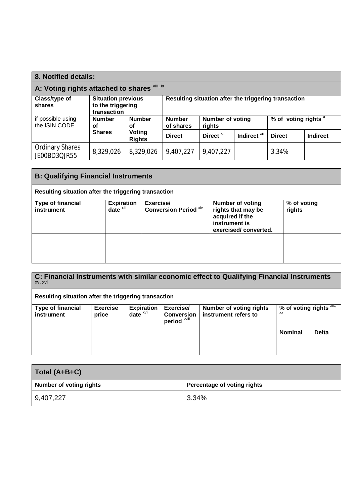| 8. Notified details:                         |                                  |                         |                                                      |                                   |                         |                                 |                 |
|----------------------------------------------|----------------------------------|-------------------------|------------------------------------------------------|-----------------------------------|-------------------------|---------------------------------|-----------------|
| A: Voting rights attached to shares Vill, ix |                                  |                         |                                                      |                                   |                         |                                 |                 |
| Class/type of                                | <b>Situation previous</b>        |                         | Resulting situation after the triggering transaction |                                   |                         |                                 |                 |
| shares                                       | to the triggering<br>transaction |                         |                                                      |                                   |                         |                                 |                 |
| if possible using<br>the ISIN CODE           | <b>Number</b><br>οf              | <b>Number</b><br>οf     | <b>Number</b><br>of shares                           | <b>Number of voting</b><br>rights |                         | % of voting rights <sup>x</sup> |                 |
|                                              | <b>Shares</b>                    | Voting<br><b>Rights</b> | <b>Direct</b>                                        | Direct <sup>xi</sup>              | Indirect <sup>xii</sup> | <b>Direct</b>                   | <b>Indirect</b> |
| <b>Ordinary Shares</b><br>JE00BD3QJR55       | 8,329,026                        | 8,329,026               | 9,407,227                                            | 9,407,227                         |                         | 3.34%                           |                 |

| <b>B: Qualifying Financial Instruments</b>           |                                               |                                    |                                                                                                           |                       |
|------------------------------------------------------|-----------------------------------------------|------------------------------------|-----------------------------------------------------------------------------------------------------------|-----------------------|
| Resulting situation after the triggering transaction |                                               |                                    |                                                                                                           |                       |
| <b>Type of financial</b><br>instrument               | <b>Expiration</b><br>$date^{\overline{x}iii}$ | Exercise/<br>Conversion Period Xiv | <b>Number of voting</b><br>rights that may be<br>acquired if the<br>instrument is<br>exercised/converted. | % of voting<br>rights |
|                                                      |                                               |                                    |                                                                                                           |                       |

**C: Financial Instruments with similar economic effect to Qualifying Financial Instruments** xv, xvi

## **Resulting situation after the triggering transaction**

| <b>Type of financial</b><br>instrument | <b>Exercise</b><br>price | <b>Expiration</b><br>$date^x$ | Exercise/<br><b>Conversion</b><br>period <sup>xviii</sup> | Number of voting rights<br>instrument refers to | % of voting rights XIX,<br>XX |              |
|----------------------------------------|--------------------------|-------------------------------|-----------------------------------------------------------|-------------------------------------------------|-------------------------------|--------------|
|                                        |                          |                               |                                                           |                                                 | <b>Nominal</b>                | <b>Delta</b> |
|                                        |                          |                               |                                                           |                                                 |                               |              |

| $\vert$ Total (A+B+C)          |                             |
|--------------------------------|-----------------------------|
| <b>Number of voting rights</b> | Percentage of voting rights |
| 9,407,227                      | 3.34%                       |